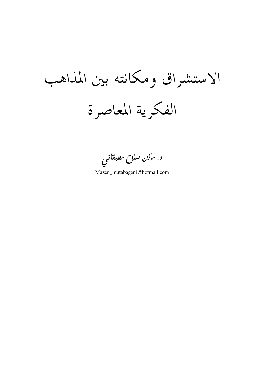الاستشراق ومكانته بين المذاهب الفكرية المعاصرة

د. مازن صلاح مطبقانی

Mazen\_mutabagani@hotmail.com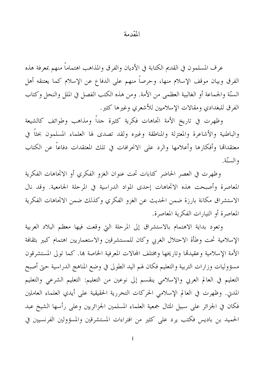## المقدمة

عرف المسلمون في القديم الكتابة في الأديان والفرق والمذاهب اهتماماً منهم بمعرفة هذه الفرق وبيان موقف الإسلام منها، وحرصاً منهم على الدفاع عن الإسلام كما يعتنقه أهل السنَّة والجماعة أو الغالبية العظمي من الأمة. ومن هذه الكتب الفصل في الملل والنحل وكتاب الفرق للبغدادي ومقالات الإسلاميين للأشعري وغيرها كثير.

وظهرت في تاريخ الأمة اتجاهات فكرية كثيرة حداً ومذاهب وطوائف كالشيعة والباطنية والأشاعرة والمعتزلة والمناطقة وغيره ولقد تصدى لها العلماء المسلمون بحثاً في معتقداهًا وأفكارها وأعلامها والرد على الانحرافات في تلك المعتقدات دفاعاً عن الكتاب والسنّة.

وظهرت في العصر الحاضر كتابات تحت عنوان الغزو الفكري أو الاتحاهات الفكرية المعاصرة وأصبحت هذه الاتحاهات إحدى المواد الدراسية في المرحلة الجامعية. وقد نال الاستشراق مكانة بارزة ضمن الحديث عن الغزو الفكري وكذلك ضمن الاتجاهات الفكرية المعاصرة أو التيارات الفكرية المعاصرة.

وتعود بداية الاهتمام بالاستشراق إلى المرحلة التي وقعت فيها معظم البلاد العربية الإسلامية تحت وطأة الاحتلال الغربي وكان للمستشرقين والاستعماريين اهتمام كبير بثقافة الأمة الإسلامية وعقيدها وتاريخها ومختلف المجالات المعرفية الخاصة بما. كما تولى المستشرقون مسؤوليات وزارات التربية والتعليم فكان لهم اليد الطولى في وضع المناهج الدراسية حتى أصبح التعليم في العالم العربي والإسلامي ينقسم إلى نوعين من التعليم: التعليم الشرعي والتعليم المدني. وظهرت في العالم الإسلامي الحركات التحررية الحقيقية على أيدي العلماء العاملين فكان في الجزائر على سبيل المثال جمعية العلماء المسلمين الجزائريين وعلى رأسها الشيخ عبد الحميد بن باديس فكتب يرد على كثير من افتراءات المستشرقين والمسؤولين الفرنسيين في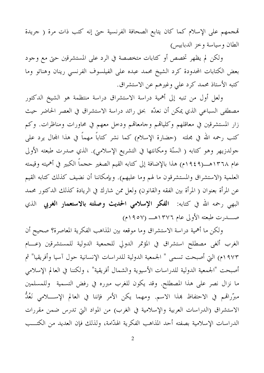تمجمهم على الإسلام كما كان يتابع الصحافة الفرنسية حتى إنه كتب ذات مرة ( جريدة الطان وسياسة وخز الدبابيس)

ولكن لم يظهر تخصص أو كتابات متخصصة في الرد على المستشرقين حتى مع وجود بعض الكتابات المحدودة كرد الشيخ محمد عبده على الفيلسوف الفرنسي رينان وهناتو وما كتبه الأستاذ محمد كرد علي وغيرهم عن الاستشراق.

ولعل أول من تنبه إلى أهمية دراسة الاستشراق دراسة منتظمة هو الشيخ الدكتور مصطفى السباعي الذي يمكن أن نعدّه بحق رائد دراسة الاستشراق في العصر الحاضر حيث زار المستشرقين في معاقلهم وكلياقمم وجامعاقمم ودخل معهم في محاورات ومناظرات. وكم كتب رحمه الله في مجلته (حضارة الإسلام) كما نشر كتاباً مهماً في هذا المحال يرد علمي جولدزيهر وهو كتابه ( السنّة ومكانتها في التشريع الإسلامي). الذي صدرت طبعته الأولى عام ١٣٦٨هــــ(١٩٤٩م) هذا بالإضافة إلى كتابه القيم الصغير ححماً الكبير في أهميته وقيمته العلمية (الاستشراق والمستشرقون ما لهم وما عليهم). وبإمكاننا أن نضيف كذلك كتابه القيم عن المرأة بعنوان ( المرأة بين الفقه والقانون) ولعل ممن شارك في الريادة كذلك الدكتور محمد البهي رحمه الله في كتابه: **الفكر الإسلامي الحديث وصلته بالاستعمار الغربي** الذي 

ولكن ما أهمية دراسة الاستشراق وما موقعه بين المذاهب الفكرية المعاصرة؟ صحيح أن الغرب ألغي مصطلح استشراق في المؤتمر الدولي للجمعية الدولية للمستشرقين (عـــام ١٩٧٣م) التي أصبحت تسمى " الجمعية الدولية للدراسات الإنسانية حول آسيا وأفريقيا" ثم أصبحت "الجمعية الدولية للدراسات الأسيوية والشمال أفريقية" ، ولكننا في العالم الإسلامي ما نزال نصر على هذا المصطلح. وقد يكون للغرب مبرره في رفض التسمية وللمسلمين مبرَّراهَم في الاحتفاظ بمذا الاسم. ومهما يكن الأمر فإننا في العالم الإســــلامي نَعُدُّ الاستشراق (الدراسات العربية والإسلامية في الغرب) من المواد التي تدرس ضمن مقررات الدراسات الإسلامية بصفته أحد المذاهب الفكرية الهدّامة، ولذلك فإن العديد من الكتــب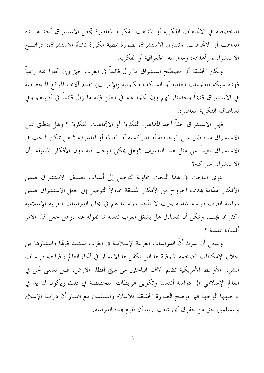المتخصصة في الاتحاهات الفكرية أو المذاهب الفكرية المعاصرة تحعل الاستشراق أحد هـــذه المذاهب أو الاتجاهات. وتتناول الاستشراق بصورة نمطية مكررة نشأة الاستشراق، دوافـــع الاستشراق، وأهدافه، ومدارسه الجغرافية أو الفكرية.

ولكن الحقيقة أن مصطلح استشراق ما زال قائماً في الغرب حتى وإن تخلوا عنه رسمياً فهذه شبكة المعلومات العالمية أو الشبكة العنكبوتية (الإنترنت) تقدم آلاف المواقع المتخصصة في الاستشراق قديماً وحديثاً. فهم وإن تخلوا عنه في العلن فإنه ما زال قائماً في أدبيالهم وفي نشاطاتهم الفكرية المعاصرة.

فهل الاستشراق حقاً أحد المذاهب الفكرية أو الاتحاهات الفكرية ؟ وهل ينطبق على الاستشراق ما ينطبق على الوجودية أو الماركسية أو العولمة أو الماسونية ؟ هل يمكن البحث في الاستشراق بعيداً عن مثل هذا التصنيف ؟وهل يمكن البحث فيه دون الأفكار المسبقة بأن الاستشراق شر كله؟

ينوي الباحث في هذا البحث محاولة التوصل إلى أسباب تصنيف الاستشراق ضمن الأفكار الهدَّامة بمدف الخروج من الأفكار المسبقة محاولاً التوصل إلى جعل الاستشراق ضمن دراسة الغرب دراسة شاملة بحيث لا تأخذ دراستنا لهم في مجال الدراسات العربية الإسلامية أكثر مما يجب. ويمكن أن نتساءل هل يشغل الغرب نفسه بما نقوله عنه ،وهل جعل لهذا الأمر أقساماً علمية ؟

وينبغي أن ندرك أنَّ الدراسات العربية الإسلامية في الغرب تستمد قولها وانتشارها من خلال الإمكانات الضخمة المتوفرة لها التي تكفل لها الانتشار في أنحاء العالم ، فرابطة دراسات الشرق الأوسط الأمريكية تضم آلاف الباحثين من شتى أقطار الأرض، فهل نسعى نحن في العالم الإسلامي إلى دراسة أنفسنا وتكوين الرابطات المتخصصة في ذلك ويكون لنا يد في توجيهها الوجهة التي توضح الصورة الحقيقية للإسلام والمسلمين مع اعتبار أن دراسة الإسلام والمسلمين حق من حقوق أي شعب يريد أن يقوم بهذه الدراسة.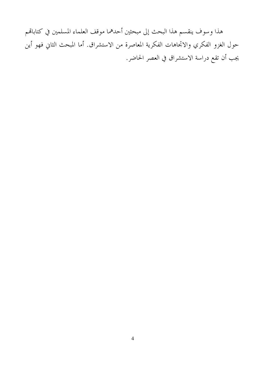هذا وسوف ينقسم هذا البحث إلى مبحثين أحدهما موقف العلماء المسلمين في كتاباقمم حول الغزو الفكري والاتجاهات الفكرية المعاصرة من الاستشراق. أما المبحث الثاني فهو أين يجب أن تقع دراسة الاستشراق في العصر الحاضر.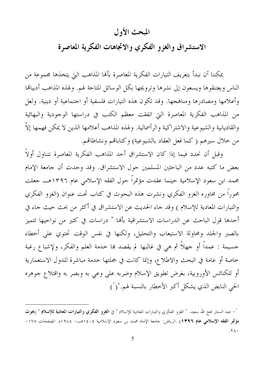## المبحث الأول

الاستشراق والغزو الفكرى والاتجاهات الفكرية المعاصرة

يمكننا أن نبدأ بتعريف التيارات الفكرية المعاصرة بألها المذاهب التي يتخذها مجموعة من الناس ويعتنقوها ويسعون إلى نشرها وترويجها بكل الوسائل المتاحة لهم. ولهذه المذاهب أدبيالها وأعلامها ومصادرها ومناهجها. وقد تكون هذه التيارات فلسفية أو اجتماعية أو دينية. ولعل من المذاهب الفكرية المعاصرة التي اتفقت معظم الكتب في دراستها الوجودية والبهائية والقاديانية والشيوعية والاشتراكية والرأسمالية. ولهذه المذاهب أعلامها الذين لا يمكن فهمها إلاَّ من خلال سيرهم (كما فعل العقاد بالشيوعية) وكتابالهم ونشاطالهم.

وقبل أن نحدد فيما إذا كان الاستشراق أحد المذاهب الفكرية المعاصرة نتناول أولاً بعض ما كتبه عدد من الباحثين المسلمين حول الاستشراق. وقد وجدت أن جامعة الإمام محمد ابن سعود الإسلامية حينما عقدت مؤتمراً حول الفقه الإسلامي عام ١٣٩٦هـــ جعلت محوراً من محاوره الغزو الفكري ونشرت هذه البحوث في كتاب تحت عنوان (الغزو الفكري والتيارات المعادية للإسلام ) وقد جاء الحديث عن الاستشراق في أكثر من بحث حيث جاء في أحدها قول الباحث عن الدراسات الاستشراقية بألها " دراسات في كثير من نواحيها تتميز بالصبر والجلد ومحاولة الاستيعاب والتحليل، ولكنها في نفس الوقت تحتوي على أخطاء جسيمة : عمداً أو جهلاً ثم هي في غالبها لم يقصد هِا خدمة العلم والفكر، ولإشباع رغبة خاصة أو عامة في البحث والاطلاع، وإنما كانت في جملتها خدمة مباشرة للدول الاستعمارية أو للكنائس الأوروبية، بغرض تطويق الإسلام وضربه على وعى به وبصر به واقتلاع جوهره الحي النابض الذي يشكل أكبر الأخطار بالنسبة لهم."(`)

<sup>`–</sup> عبد الستار فتح الله سعيد. " الغزو الفكري والتيارات المعادية للإسلام " في **الغزو الفكري والتيارات المعادية للإسلام** " (بحوث مؤتمر الفقه الإسلامي عام ١٣٩٦) .الرياض: جامعة الإمام محمد بن سعود الإسلامية ١٤٠٤هـــ- ١٩٨٤م. الصفحات ١٧٥–  $.7<sub>A</sub>$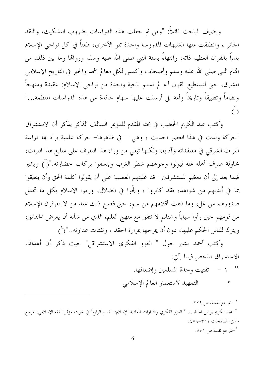ويضيف الباحث قائلاً: "ومن ثم حفلت هذه الدراسات بضروب التشكيك، والنقد الجائر ، وانطلقت منها الشبهات المدروسة واحدة تلو الأخرى، طعناً في كل نواحي الإسلام بدءاً بالقرآن العظيم ذاته، وانتهاءً بسنة النبي صلى الله عليه وسلم وروالها وما بين ذلك من الهام النبي صلى الله عليه وسلم وأصحابه، وكمس لكل معالم المحد والخير في التاريخ الإسلامي المشرق، حتى لنستطيع القول أنه لم تسلم ناحية واحدة من نواحي الإسلام: عقيدة ومنهجاً ونظاماً وتطبيقاً وتاريخاً وأمة بل أرسلت عليها سهام حاقدة من هذه الدراسات المنظمة..."  $\mathcal{C}^{\mathcal{L}}$ 

وكتب عبد الكريم الخطيب في بحثه المقدم للمؤتمر السالف الذكر يذكر أن الاستشراق "حركة ولدت في هذا العصر الحديث ، وهي — في ظاهرها– حركة علمية يراد بما دراسة التراث الشرقي في معتقداته وآدابه، ولكنها تبغي من وراء هذا التعرف على منابع هذا التراث، محاولة صرف أهله عنه ليولوا وجوههم شطر الغرب ويتعلقوا بركاب حضارته."(٢) ويشير فيما بعد إلى أن معظم المستشرقين " قد غلبتهم العصبية على أن يقولوا كلمة الحق وأن ينطقوا بما في أيديهم من شواهد، فقد كابروا ، ولجَّوا في الضلال، ورموا الإسلام بكل ما تحمل صدورهم من غل، وما تنفث أقلامهم من سم، حتى فضح ذلك عند من لا يعرفون الإسلام من قومهم حين رأوا سباباً وشتائم لا تتفق مع منهج العلم، الذي من شأنه أن يعرض الحقائق، ويترك للناس الحكم عليها، دون أن يمزجها بمرارة الحقد ، ونفثات عداوته.."(<sup>٤</sup>)

وكتب أحمد بشير حول " الغزو الفكري الاستشراقي" حيث ذكر أن أهداف الاستشراق تتلخص فيما يأتي: التمهيد لاستعمار العالم الإسلامي  $-\tau$ 

<sup>٢</sup>– المرجع نفسه، ص ٢٢٩. <sup>٣</sup>–عبد الكريم يونس الخطيب. " الغزو الفكري والتيارات المعادية للإسلام: القسم الرابع" في بحوث مؤتمر الفقه الإسلامى، مرحع سابق، الصفحات ٣٩١-٤٥٩. <sup>٤</sup>–المرجع نفسه ص ٤٤١.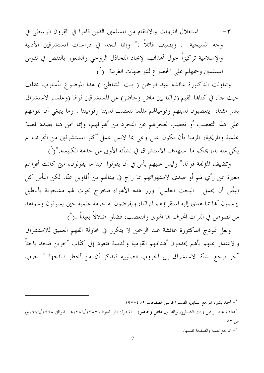استغلال الثروات والانتقام من المسلمين الذين قاموا في القرون الوسطى في  $-\tau$ وجه المسيحية" . ويضيف قائلاً :" وإننا لنجد في دراسات المستشرقين الأدبية والإسلامية تركيزاً حول أهدافهم لإيجاد التخاذل الروحي والشعور بالنقص في نفوس المسلمين وحمهلم على الخضوع للتوجيهات الغربية."(°)

وتناولت الدكتورة عائشة عبد الرحمن ( بنت الشاطئ ) هذا الموضوع بأسلوب مختلف حيث جاء في كتابها القيم (تراثنا بين ماض وحاضر) عن المستشرقين قولها (وعلماء الاستشراق بشر مثلنا، يتعصبون لدينهم وقومياتهم مثلما نتعصب لديننا وقوميتنا . وما ينبغي أن نلومهم على هذا التعصب أو نغضب لعجزهم عن التجرد من أهوائهم، وإنما نحن هنا بصدد قضية علمية وتاريخية، تلزمنا بأن نكون على وعي بما لابس عمل أكثر المستشرقين من انحراف لم يكن منه بد، بحكم ما استهدف الاستشراق في نشأته الأولى من خدمة الكنيسة."(`)

وتضيف المؤلفة قولها:" وليس عليهم بأس في أن يقولوا ً فينا ما يقولون، متى كانت أقوالهم معبرة عن رأي لهم أو صدى لاستهوائهم بما راج في بيئالهم من أقاويل عنّا، لكن البأس كل البأس أن يحمل " البحث العلمي" وزر هذه الأهواء فتخرج بحوث لهم مشحونة بأباطيل يزعمون ألها مما هدى إليه استقراؤهم لتراثنا، ويفرضون له حرمة علمية حين يسوقون وشواهد من نصوص في التراث انحرف بما الهوى والتعصب، فضلوا ضلالاً بعيداً".(`)

ولعل نموذج الدكتورة عائشة عبد الرحمن لا يتكرر في محاولة الفهم العميق للاستشراق والاعتذار عنهم بأفمم يخدمون أهدافهم القومية والدينية فنعود إلى كتّاب آخرين فنحد باحثاً آخر يرجع نشأة الاستشراق إلى الحروب الصليبية فيذكر أن من أخطر نتائجها " الحرب

°– أحمد بشير، المرجع السابق، القسم الخامس الصفحات ٤٥٩–٤٩٧.

<sup>י</sup>عائشة عبد الرحمن (بنت الشاطئ).**تراثنا بین ماض وحاضر**) . القاهرة: دار المعارف ۱۳۸۹/۱۳۸۷هـــ الموافق ۱۹۶۸/۱۹۲۸م) ص ٥٣.

المرجع نفسه والصفحة نفسها.  $^{\vee}$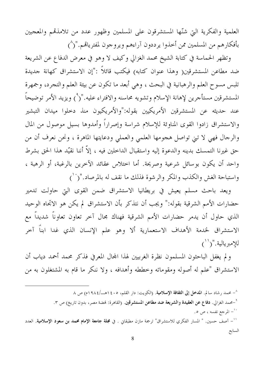العلمية والفكرية التي شنّها المستشرقون على المسلمين وظهور عدد من تلامذتمم والمعجبين بأفكارهم من المسلمين ممن أخذوا يرددون آراءهم ويروجون لمفترياقم."(^)

وتظهر الحماسة في كتابة الشيخ محمد الغزالي وكيف لا وهو في معرض الدفاع عن الشريعة ضد مطاعن المستشرقين( وهذا عنوان كتابه) فيكتب قائلاً :"إن الاستشراق كهانة جديدة تلبس مسوح العلم والرهبانية في البحث ، وهي أبعد ما تكون عن بيئة العلم والتجرد، وجمهرة المستشرقين مستأجرين لإهانة الإسلام وتشويه محاسنه والافتراء عليه."(°) ويزيد الأمر توضيحاً عند حديثه عن المستشرقين الأمريكيين بقوله:"والأمريكيون منذ دحلوا ميدان التبشير والاستشراق زادوا القوى المناوئة للإسلام شراسة وإصراراً وأمدوها بسيل موصول من المال والرجال فهي لا تبي تواصل هجومها العلمي والعملي ودعايتها الماهرة ، ونحن نعرف أن من حق غيرنا التمسك بدينه والدعوة إليه واستقبال الداخلين فيه ، إلاّ أننا نقيّد هذا الحق بشرط واحد أن يكون بوسائل شرعية وصريحة. أما اختلاس عقائد الآخرين بالرغبة، أو الرهبة ، واستباحة الغش والكذب والمكر والرشوة فذلك ما نقف له بالمرصاد."(``)

ويعد باحث مسلم يعيش في بريطانيا الاستشراق ضمن القوى التي حاولت تدمير حضارات الأمم الشرقية بقوله:" ويجب أن نتذكر بأن الاستشراق لم يكن هو الاتحاه الوحيد الذي حاول أن يدمر حضارات الأمم الشرقية فهناك مجال آخر تعاون تعاوناً شديداً مع الاستشراق لخدمة الأهداف الاستعمارية ألا وهو علم الإنسان الذي غدا ابنا آحر للإمبريالية."(``)

ولم يغفل الباحثون المسلمون نظرة الغربيين لهذا المجال المعرفي فذكر محمد أحمد دياب أن الاستشراق "علم له أصوله ومقوماته وخططه وأهدافه ، ولا ننكر ما قام به المشتغلون به من

^\_ محمد رشاد سالم. المدخل إلى الثقافة الإسلامية. (الكويت: دار القلم، ١٤٠٥هــ/١٩٨٤م) ص ٨ °-محمد الغزالي. **دفاع عن العقيدة والشريعة ضد مطاعن المستشرقين**. (القاهرة: فمضة مصر، بدون تاريخ) ص ٣. ``\_ المرجع نفسه ، ص ٥. `` – آصف حسين. " المسار الفكري للاستشراق" ترجمة مازن مطبقاني . في **مجلة جامعة الإمام محمد بن سعود الإسلامية**. العدد السابع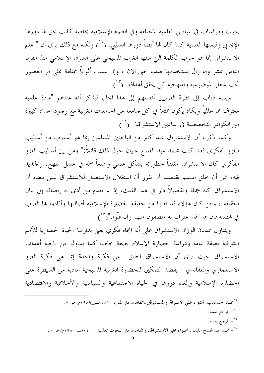بحوث ودراسات في الميادين العلمية المختلفة وفي العلوم الإسلامية بخاصة كانت بحق لها دورها الإيجابي وقيمتها العلمية كما كان لها أيضاً دورها السلبي."(``) ولكنه مع ذلك يرى أن " علم الاستشراق إنما هو حرب الكلمة التي شنها الغرب المسيحي على الشرق الإسلامي منذ القرن الثامن عشر وما زال يستخدمها ضدنا حتى الآن ، وإن لبست أثواباً مختلفة على مر العصور تحت شعار الموضوعية والمنهجية كي يحقق أهدافه."(١٣)

ويتنبه دياب إلى نظرة الغربيين أنفسهم إلى هذا المحال فيذكر أنه عندهم "مادة علمية معترف هما عالمياً ويكاد يكون ممثلاً في كل جامعة من الجامعات الغربية مع وجود أعداد كبيرة من الكوادر التخصصية في الميادين الاستشراقية."(<sup>١٤</sup>)

وكما ذكرنا أن الاستشراق عند كثير من الباحثين المسلمين إنما هو أسلوب من أساليب الغزو الفكري فقد كتب محمد عبد الفتاح عليان حول ذلك قائلاً:" ومن بين أساليب الغزو الفكري كان الاستشراق مغلفاً خطورته بشكل علمي واضعاً سمّه في عسل المنهج، والجديد فيه، غير أن خلق المسلم يقتضينا أن نقرر أن استغلال الاستعمار للاستشراق ليس معناه أن الاستشراق كله جملة وتفصيلاً دار في هذا الفلك، إذ لم نعدم من أدى به إنصافه إلى بيان الحقيقة ، ولئن كان هؤلاء قد نقلوا من حقيقة الحضارة الإسلامية أصالتها وأفادوا هما الغرب في فمضته فإن هذا قد اعترف به منصفون منهم وإن قلُّوا."(° )

ويتناول عدنان الوزان الاستشراق على أنه اتجاه فكري يعني بدارسة الحياة الحضارية للأمم الشرقية بصفة عامة ودراسة حضارة الإسلام بصفة خاصة.كما يتناوله من ناحية أهداف الاستشراق حيث يرى أن الاستشراق انطلق من فكرة واحدة إنما هي فكرة الغزو الاستعماري والعقائدي " بقصد التمكين للحضارة الغربية المسيحية المادية من السيطرة على الحضارة الإسلامية وإلغاء دورها في الحياة الاجتماعية والسياسية والأخلاقية والاقتصادية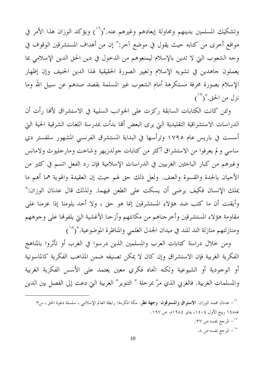وتشكيك المسلمين بدينهم ومحاولة إبعادهم وغيرهم عنه."(`` )ويؤكد الوزان هذا الأمر في مواقع أخرى من كتابه حيث يقول في موضع آخر:" إن من أهداف المستشرقين الوقوف في وجه الشعوب التي لا تدين بالإسلام ليمنعوهم من الدخول في دين الحق الدين الإسلامي بما يعملون جاهدين في تشويه الإسلام وتغيير الصورة الحقيقية لهذا الدين الحنيف وإن إظهار الإسلام بصورة محرفة مستكرهة أمام الشعوب غير المسلمة بقصد صدهم عن سبيل الله وما  $\left( \begin{smallmatrix} 1 & v \\ v & 1 \end{smallmatrix} \right)$ ' نزل من الحق. "

ولئن كانت الكتابات السابقة ركزت على الجوانب السلبية في الاستشراق لألها رأت أن الدراسات الاستشراقية التقليدية التي يرى البعض ألها بدأت بمدرسة اللغات الشرقية الحية اليت أسست في باريس عام ١٧٩٥ وترأسها في البداية المستشرق الفرنسي المشهور سلفستر دي ساسي ولم يعرفوا من الاستشراق أكثر من كتابات جولدزيهر وشاخت ومارجليوث ولامانس وغيرهم من كبار الباحثين الغربيين في الدراسات الإسلامية فإن رد الفعل اتسم في كثير من الأحيان بالحدة والقسوة والعنف. ولعل ذلك حق لهم حيث إن العقيدة والهوية هما أهم ما يملك الإنسان فكيف يرضى أن يسكت على الطعن فيهما. ولذلك قال عدنان الوزان:" وأيقنت أن ما كتب ضد هؤلاء المستشرقين إنما هو حق ، ولا أحد يلومنا إذا عزمنا على مقاومة هؤلاء المستشرقين وأخرجناهم من مكانتهم وأزحنا الأغشية التي يلفوفما على وجوههم ومنازلتهم منازلة الند للند في ميدان الجدل العلمي والمناظرة الموضوعية."(^`)

ومن خلال دراسة كتابات العرب والمسلمين الذين درسوا في الغرب أو تأثروا بالمناهج الفكرية الغربية فإن الاستشراق وإن كان لا يمكن تصنيفه ضمن المذاهب الفكرية كالماسونية أو الوجودية أو الشيوعية ولكنه اتجاه فكري معين يعتمد على الأسس الفكرية الغربية والمسلمات الغربية. فالغربي الذي مرَّ بمرحلة " التنوير" الغربية التي دعت إلى الفصل بين الدين

<sup>&</sup>lt;sup>11</sup> – عدنان محمد الوزان. **الاستراق والمسترقون: وجهة نظر** . مكة المكرمة: , ابطة العالم الإسلامي ، سلسلة دعوة الحق ، س٣ عدد٤١ ربيع الأول ١٤٠٤، يناير ١٩٨٤م. ص ١٩٧. <sup>١٧</sup>- المرجع نفسه ص ٣٧. <sup>١٨</sup> – المرجع نفسه ص ٨.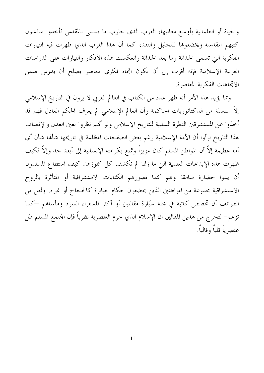والحياة أو العلمانية بأوسع معانيها، الغرب الذي حارب ما يسمى بالمقدس فأخذوا يناقشون كتبهم المقدسة ويخضعوها للتحليل والنقد، كما أن هذا الغرب الذي ظهرت فيه التيارات الفكرية التي تسمى الحداثة وما بعد الحداثة وانعكست هذه الأفكار والتيارات على الدراسات العربية الإسلامية فإنه أقرب إلى أن يكون اتجاه فكري معاصر يصلح أن يدرس ضمن الاتجاهات الفكرية المعاصرة.

ومما يؤيد هذا الأمر أنه ظهر عدد من الكتاب في العالم العربي لا يرون في التاريخ الإسلامي إلاَّ سلسلة من الدكتاتوريات الحاكمة وأن العالم الإسلامي لم يعرف الحكم العادل فهم قد أخذوا عن المستشرقين النظرة السلبية للتاريخ الإسلامي ولو ألهم نظروا بعين العدل والإنصاف لهذا التاريخ لرأوا أن الأمة الإسلامية رغم بعض الصفحات المظلمة في تاريخها شأها شأن أي أمة عظيمة إلاَّ أن المواطن المسلم كان عزيزاً وتمتع بكرامته الإنسانية إلى أبعد حد وإلاَّ فكيف ظهرت هذه الإبداعات العلمية التي ما زلنا لم نكشف كل كنوزها. كيف استطاع المسلمون أن يبنوا حضارة سامقة وهم كما تصورهم الكتابات الاستشراقية أو المتأثرة بالروح الاستشراقية مجموعة من المواطنين الذين يخضعون لحكام جبابرة كالحجاج أو غيره. ولعل من الطرائف أن تخصص كاتبة في مجلة سيّارة مقالتين أو أكثر للشعراء السود ومأساقم —كما تزعم– لتخرج من هذين المقالين أن الإسلام الذي حرم العنصرية نظرياً فإن المحتمع المسلم ظل عنصرياً قلباً وقالباً.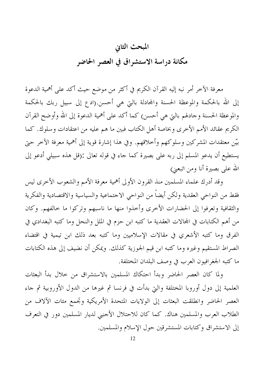## المبحث الثاني مكانة دراسة الاستشراق في العصر الحاضر

معرفة الآخر أمر نبه إليه القرآن الكريم في أكثر من موضع حيث أكد على أهمية الدعوة إلى الله بالحكمة والموعظة الحسنة والمحادلة بالتي هي أحسن.(ادع إلى سبيل ربك بالحكمة والموعظة الحسنة وجادلهم بالتي هي أحسن) كما أكد على أهمية الدعوة إلى الله وأوضح القرآن الكريم عقائد الأمم الأخرى وبخاصة أهل الكتاب فبين ما هم عليه من اعتقادات وسلوك. كما بيّن معتقدات المشركين وسلوكهم وأخلاقهم. وفي هذا إشارة قوية إلى أهمية معرفة الآخر حتى يستطيع أن يدعو المسلم إلى ربه على بصيرة كما جاء في قوله تعالى :(قل هذه سبيلي أدعو إلى الله على بصيرة أنا ومن اتبعني)

وقد أدرك علماء المسلمين منذ القرون الأولى أهمية معرفة الأمم والشعوب الأخرى ليس فقط من النواحي العقدية ولكن أيضاً من النواحي الاجتماعية والسياسية والاقتصادية والفكرية والثقافية وتعرفوا إلى الحضارات الأحرى وأخذوا منها ما ناسبهم وتركوا ما خالفهم. وكان من أهم الكتابات في المحالات العقدية ما كتبه ابن حزم في الملل والنحل وما كتبه البغدادي في الفرق وما كتبه الأشعري في مقالات الإسلاميين وما كتبه بعد ذلك ابن تيمية في اقتضاء الصراط المستقيم وغيره وما كتبه ابن قيم الجوزية كذلك. ويمكن أن نضيف إلى هذه الكتابات ما كتبه الجغرافيون العرب في وصف البلدان المختلفة.

ولما كان العصر الحاضر وبدأ احتكاك المسلمين بالاستشراق من حلال بدأ البعثات العلمية إلى دول أوروبا المختلفة والتي بدأت في فرنسا ثم غيرها من الدول الأوروبية ثم جاء العصر الحاضر وانطلقت البعثات إلى الولايات المتحدة الأمريكية وتجمع مئات الآلاف من الطلاب العرب والمسلمين هناك. كما كان للاحتلال الأجنبي لديار المسلمين دور في التعرف إلى الاستشراق وكتابات المستشرقين حول الإسلام والمسلمين.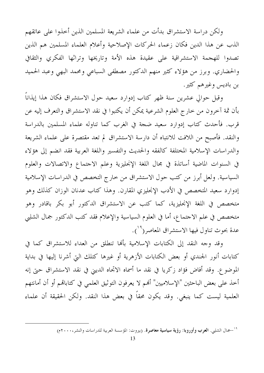ولكن دراسة الاستشراق بدأت من علماء الشريعة المسلمين الذين أخذوا على عاتقهم الذب عن هذا الدين فكان زعماء الحركات الإصلاحية وأعلام العلماء المسلمين هم الذين تصدوا للهجمة الاستشراقية على عقيدة هذه الأمة وتاريخها وتراثها الفكري والثقافي والحضاري. وبرز من هؤلاء كثير منهم الدكتور مصطفى السباعي ومحمد البهي وعبد الحميد بن باديس وغيرهم كثير.

وقبل حوالي عشرين سنة ظهر كتاب إدوارد سعيد حول الاستشراق فكان هذا إيذاناً بأن ثمة آخرون من حارج العلوم الشرعية يمكن أن يكتبوا في نقد الاستشراق والتعرف إليه عن قرب. فأحدث كتاب إدوارد سعيد ضجة في الغرب كما تناوله علماء المسلمين بالدراسة والنقد. فأصبح من اللافت للانتباه أن دارسة الاستشراق لم تعد مقتصرة على علماء الشريعة والدراسات الإسلامية المختلفة كالفقه والحديث والتفسير واللغة العربية فقد انضم إلى هؤلاء في السنوات الماضية أساتذة في مجال اللغة الإنحليزية وعلم الاجتماع والاتصالات والعلوم السياسية. ولعل أبرز من كتب حول الاستشراق من خارج التخصص في الدراسات الإسلامية إدوارد سعيد المتخصص في الأدب الإنجليزي المقارن. وهذا كتاب عدنان الوزان كذلك وهو متخصص في اللغة الإنجليزية، كما كتب عن الاستشراق الدكتور أبو بكر باقادر وهو متخصص في علم الاجتماع، أما في العلوم السياسية والإعلام فقد كتب الدكتور جمال الشلبي عدة بحوث تناول فيها الاستشراق المعاصر( ``).

وقد وجه النقد إلى الكتابات الإسلامية بألها تنطلق من العداء للاستشراق كما في كتابات أنور الجندي أو بعض الكتابات الأزهرية أو غيرها كتلك التي أشرنا إليها في بداية الموضوع. وقد أفاض فؤاد زكريا في نقد ما أسماه الاتحاه الديني في نقد الاستشراق حتى إنه أخذ على بعض الباحثين "الإسلاميين" أُلهم لا يعرفون التوثيق العلمي في كتابالهم أو أن أمانتهم العلمية ليست كما ينبغي. وقد يكون محقاً في بعض هذا النقد. ولكن الحقيقة أن علماء

<sup>&</sup>lt;sup>١٩</sup>–جمال الشلبي. ا**لعرب وأوروبا**: **رؤية سياسية معاصرة**. (بيروت: المؤسسة العربية للدراسات والنشر،٢٠٠٠م)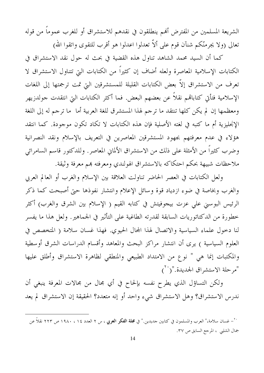الشريعة المسلمين من المفترض ألهم ينطلقون في نقدهم للاستشراق أو للغرب عموماً من قوله تعالى (ولا يجرمنَّكم شنآن قوم على ألاَّ تعدلوا اعدلوا هو أقرب للتقوى واتقوا الله)

كما أن السيد محمد الشاهد تناول هذه القضية في بحث له حول نقد الاستشراق في الكتابات الإسلامية المعاصرة ولعله أضاف إن كثيراً من الكتابات التي تتناول الاستشراق لا تعرف من الاستشراق إلاّ بعض الكتابات القليلة للمستشرقين التي تمت ترجمتها إلى اللغات الإسلامية فتأتى كتابالهم نقلاً عن بعضهم البعض. فما أكثر الكتابات التي انتقدت جولدزيهر ومعظمها إن لم يكن كلها تنتقد ما ترجم لهذا المستشرق للغة العربية أما ً ما ترجم له إلى اللغة الإنحليزية أم ما كتبه في لغته الأصلية فإن هذه الكتابات لا تكاد تكون موجودة. كما انتقد هؤلاء في عدم معرفتهم بجهود المستشرقين المعاصرين في التعريف بالإسلام ونقد النصرانية وضرب كثيراً من الأمثلة على ذلك من الاستشراق الألماني المعاصر. وللدكتور قاسم السامرائي ملاحظات شبيهة بحكم احتكاكه بالاستشراق الهولندي ومعرفته بمم معرفة وثيقة.

ولعل الكتابات في العصر الحاضر تناولت العلاقة بين الإسلام والغرب أو العالم العربي والغرب وبخاصة في ضوء ازدياد قوة وسائل الإعلام وانتشار نفوذها حتى أصبحت كما ذكر الرئيس البوسني على عزت بيجوفيتش في كتابه القيم ( الإسلام بين الشرق والغرب) أكثر خطورة من الدكتاتوريات السابقة لقدرته الطاغية على التأثير في الجماهير. ولعل هذا ما يفسر لنا دخول علماء السياسية والاتصال لهذا المجال الحيوي. فهذا غسان سلامة ( المتخصص في العلوم السياسية ) يرى أن انتشار مراكز البحث والمعاهد وأقسام الدراسات الشرق أوسطية والمكتبات إنما هي " نوع من الامتداد الطبيعي والمنطقى لظاهرة الاستشراق وأطلق عليها "مرحلة الاستشراق الجديدة."(``)

ولكن التساؤل الذي يطرح نفسه بإلحاح في أي مجال من محالات المعرفة ينبغي أن ندرس الاستشراق؟ وهل الاستشراق شيء واحد أو إنه متعدد؟ الحقيقة إن الاستشراق لم يعد

<sup>&</sup>lt;sup>7٠</sup>– غسان سلامة،" العرب والمسلمون في كتابين جديدين." في **مجلة الفكر العربي ،** س ٢ العدد ١٤ ، ١٩٨٠ ص ٢٢٣ نقلاً عن جمال الشلبي ، المرحع السابق ص ٣٧.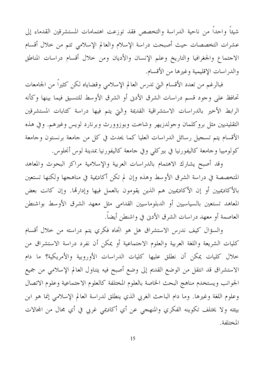شيئاً واحداً من ناحية الدراسة والتخصص فقد توزعت اهتمامات المستشرقين القدماء إلى عشرات التخصصات حيث أصبحت دراسة الإسلام والعالم الإسلامي تتم من خلال أقسام الاجتماع والجغرافيا والتاريخ وعلم الإنسان والأديان ومن خلال أقسام دراسات المناطق والدراسات الإقليمية وغيرها من الأقسام.

فبالرغم من تعدد الأقسام التي تدرس العالم الإسلامي وقضاياه لكن كثيراً من الجامعات تحافظ على وجود قسم دراسات الشرق الأدنى أو الشرق الأوسط للتنسيق فيما بينها وكأنه الرابط الأخير بالدراسات الاستشراقية القديمة والتي يتم فيها دراسة كتابات المستشرقين التقليديين مثل بروكلمان وجولدزيهر وشاحت وبوزوورث وبرنارد لويس وغيرهم. وفي هذه الأقسام يتم تسجيل رسائل الدراسات العليا كما يحدث في كل من جامعة برنستون وجامعة كولومبيا وجامعة كاليفورنيا في بيركلي وفي جامعة كاليفورنيا بمدينة لوس أنحلوس.

وقد أصبح يشارك الاهتمام بالدراسات العربية والإسلامية مراكز البحوث والمعاهد المتخصصة في دراسة الشرق الأوسط وهذه وإن لم تكن أكاديمية في مناهجها ولكنها تستعين بالأكاديميين أو إن الأكاديميين هم الذين يقومون بالعمل فيها وإدارتها. وإن كانت بعض المعاهد تستعين بالسياسيين أو الدبلوماسيين القدامي مثل معهد الشرق الأوسط بواشنطن العاصمة أو معهد دراسات الشرق الأدنى في واشنطن أيضاً.

والسؤال كيف ندرس الاستشراق هل هو اتجاه فكري يتم دراسته من حلال أقسام كليات الشريعة واللغة العربية والعلوم الاجتماعية أو يمكن أن نفرد دراسة الاستشراق من خلال كليات يمكن أن نطلق عليها كليات الدراسات الأوروبية والأمريكية؟ ما دام الاستشراق قد انتقل من الوضع القديم إلى وضع أصبح فيه يتناول العالم الإسلامي من جميع الجوانب ويستخدم مناهج البحث الخاصة بالعلوم المختلفة كالعلوم الاجتماعية وعلوم الاتصال وعلوم اللغة وغيرها. وما دام الباحث الغربي الذي ينطلق لدراسة العالم الإسلامي إنما هو ابن بيئته ولا يختلف تكوينه الفكري والمنهجى عن أي أكاديمي غربي في أي مجال من المحالات المختلفة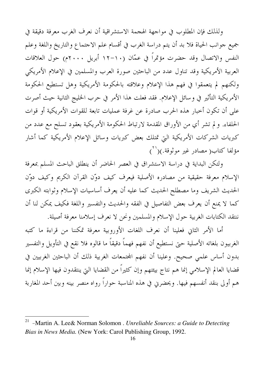ولذلك فإن المطلوب في مواجهة الهجمة الاستشراقية أن نعرف الغرب معرفة دقيقة في جميع جوانب الحياة فلا بد أن يتم دراسة الغرب في أقسام علم الاجتماع والتاريخ واللغة وعلم النفس والاتصال وقد حضرت مؤتمراً في عمّان (١٠-١٢ أبريل ٢٠٠٠م) حول العلاقات العربية الأمريكية وقد تناول عدد من الباحثين صورة العرب والمسلمين في الإعلام الأمريكي ولكنهم لم يتعمقوا في فهم هذا الإعلام وعلاقته بالحكومة الأمريكية وهل تستطيع الحكومة الأمريكية التأثير في وسائل الإعلام. فقد فعلت هذا الأمر في حرب الخليج الثانية حيث أصرت على أن تكون أخبار هذه الحرب صادرة عن غرفة عمليات تابعة للقوات الأمريكية أو قوات الحلفاء. و لم تشر أي من الأوراق المقدمة لارتباط الحكومة الأمريكية بعقود تسلح مع عدد من كبريات الشركات الأمريكية التي تمتلك بعض كبريات وسائل الإعلام الأمريكية كما أشار مؤلفا كتاب( مصادر غير موثوقة.)(``)

ولتكن البداية في دراسة الاستشراق في العصر الحاضر أن ينطلق الباحث المسلم بمعرفة الإسلام معرفة حقيقية من مصادره الأصلية فيعرف كيف دوّن القرآن الكريم وكيف دوّن الحديث الشريف وما مصطلح الحديث كما عليه أن يعرف أساسيات الإسلام وثوابته الكبرى كما لا يمنع أن يعرف بعض التفاصيل في الفقه والحديث والتفسير واللغة فكيف يمكن لنا أن ننتقد الكتابات الغربية حول الإسلام والمسلمين ونحن لا نعرف إسلامنا معرفة أصيلة.

أما الأمر الثاني فعلينا أن نعرف اللغات الأوروبية معرفة تمكننا من قراءة ما كتبه الغربيون بلغاته الأصلية حتى نستطيع أن نفهم فهماً دقيقاً ما قالوه فلا نقع في التأويل والتفسير بدون أساس علمي صحيح. وعلينا أن نفهم المحتمعات الغربية ذلك أن الباحثين الغربيين في قضايا العالم الإسلامي إنما هم نتاج بيئتهم وإن كثيراً من القضايا التي ينتقدون فيها الإسلام إنما هم أولى بنقد أنفسهم فيها. ويحضرني في هذه المناسبة حواراً رواه منصر بينه وبين أحد المغاربة

<sup>-</sup>Martin A. Lee& Norman Solomon . Unreliable Sources: a Guide to Detecting 21 Bias in News Media. (New York: Carol Publishing Group, 1992.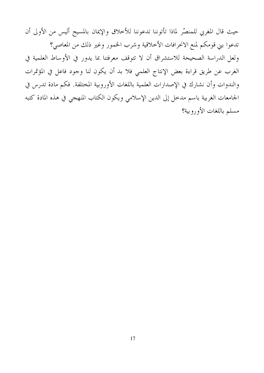حيث قال المغربي للمنصّر لماذا تأتوننا تدعوننا للأخلاق والإيمان بالمسيح أليس من الأولى أن تدعوا بني قومكم لمنع الانحرافات الأخلاقية وشرب الخمور وغير ذلك من المعاصي؟ ولعل الدراسة الصحيحة للاستشراق أن لا تتوقف معرفتنا بما يدور في الأوساط العلمية في الغرب عن طريق قراءة بعض الإنتاج العلمي فلا بد أن يكون لنا وجود فاعل في المؤتمرات والندوات وأن نشارك في الإصدارات العلمية باللغات الأوروبية المختلفة. فكم مادة تدرس في الجامعات الغربية باسم مدخل إلى الدين الإسلامي ويكون الكتاب المنهجي في هذه المادة كتبه مسلم باللغات الأوروبية؟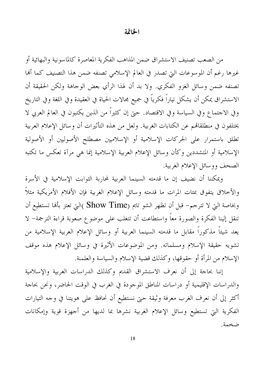## الخاتمة

من الصعب تصنيف الاستشراق ضمن المذاهب الفكرية المعاصرة كالماسونية والبهائية أو غيرها رغم أن الموسوعات التي تصدر في العالم الإسلامي تصنفه ضمن هذا التصنيف كما ألها تصنفه ضمن وسائل الغزو الفكري. ولا بد أن لهذا الرأي بعض الوجاهة ولكن الحقيقة أن الاستشراق يمكن أن يشكل تياراً فكرياً في جميع مجالات الحياة في العقيدة وفي اللغة وفي التاريخ وفي الاجتماع وفي السياسة وفي الاقتصاد. حتى إن كثيراً من الذين يكتبون في العالم العربي لا يختلفون في منطلقالهم عن الكتابات الغربية. ولعل من هذه التأثيرات أن وسائل الإعلام العربية تطلق باستمرار على الحركات الإسلامية أو الإسلاميين مصطلح الأصوليين أو الأصولية الإسلامية أو المتشددين وكأن وسائل الإعلام العربية الإسلامية إنما هي مرآة تعكس ما تكتبه الصحف ووسائل الإعلام الغربية.

ويمكننا أن نضيف إن ما قدمته السينما العربية لمحاربة الثوابت الإسلامية في الأسرة والأخلاق يتفوق بمءات المرات ما قدمته وسائل الإعلام الغربية فإن الأفلام الأمريكية مثلاً وبخاصة التي لا تترجم– قبل أن تظهر الشو تايم (Show Time )التي تعتز بألها تستطيع أن تنقل إلينا الفكرة والصورة معاً واستطاعت أن تتغلب على موضوع صعوبة قراءة الترجمة– لا يعد شيئاً مذكوراً مقابل ما قدمته السينما العربية أو وسائل الإعلام العربية الإسلامية من تشويه حقيقة الإسلام ومسلماته. ومن الموضوعات الأثيرة في وسائل الإعلام هذه موقف الإسلام من المرأة أو حقوقها، وكذلك قضية الإسلام والسياسة والعلمنة.

إننا بحاجة إلى أن نعرف الاستشراق القديم وكذلك الدراسات العربية والإسلامية والدراسات الإقليمية أو دراسات المناطق الموجودة في الغرب في الوقت الحاضر، ونحن بحاجة أكثر إلى أن نعرف الغرب معرفة وثيقة حتى نستطيع أن نحافظ على هويتنا في وجه التيارات الفكرية التي تستطيع وسائل الإعلام الغربية نشرها بما لديها من أجهزة قوية وإمكانات ضخمة.